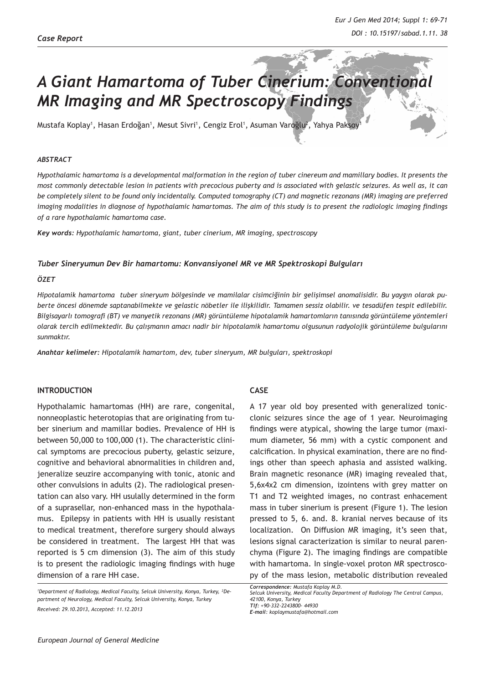# *A Giant Hamartoma of Tuber Cinerium: Conventional MR Imaging and MR Spectroscopy Findings*

Mustafa Koplay', Hasan Erdoğan', Mesut Sivri', Cengiz Erol', Asuman Varoğlu<sup>z</sup>, Yahya Paksoy'<sup>ı</sup>

#### *ABSTRACT*

*Hypothalamic hamartoma is a developmental malformation in the region of tuber cinereum and mamillary bodies. It presents the most commonly detectable lesion in patients with precocious puberty and is associated with gelastic seizures. As well as, it can be completely silent to be found only incidentally. Computed tomography (CT) and magnetic rezonans (MR) imaging are preferred imaging modalities in diagnose of hypothalamic hamartomas. The aim of this study is to present the radiologic imaging findings of a rare hypothalamic hamartoma case.* 

*Key words: Hypothalamic hamartoma, giant, tuber cinerium, MR imaging, spectroscopy*

#### *Tuber Sineryumun Dev Bir hamartomu: Konvansiyonel MR ve MR Spektroskopi Bulguları*

#### *ÖZET*

*Hipotalamik hamartoma tuber sineryum bölgesinde ve mamilalar cisimciğinin bir gelişimsel anomalisidir. Bu yaygın olarak puberte öncesi dönemde saptanabilmekte ve gelastic nöbetler ile ilişkilidir. Tamamen sessiz olabilir. ve tesadüfen tespit edilebilir. Bilgisayarlı tomografi (BT) ve manyetik rezonans (MR) görüntüleme hipotalamik hamartomların tanısında görüntüleme yöntemleri olarak tercih edilmektedir. Bu çalışmanın amacı nadir bir hipotalamik hamartomu olgusunun radyolojik görüntüleme bulgularını sunmaktır.*

*Anahtar kelimeler: Hipotalamik hamartom, dev, tuber sineryum, MR bulguları, spektroskopi*

#### **INTRODUCTION**

Hypothalamic hamartomas (HH) are rare, congenital, nonneoplastic heterotopias that are originating from tuber sinerium and mamillar bodies. Prevalence of HH is between 50,000 to 100,000 (1). The characteristic clinical symptoms are precocious puberty, gelastic seizure, cognitive and behavioral abnormalities in children and, jeneralize seuzire accompanying with tonic, atonic and other convulsions in adults (2). The radiological presentation can also vary. HH usulally determined in the form of a suprasellar, non-enhanced mass in the hypothalamus. Epilepsy in patients with HH is usually resistant to medical treatment, therefore surgery should always be considered in treatment. The largest HH that was reported is 5 cm dimension (3). The aim of this study is to present the radiologic imaging findings with huge dimension of a rare HH case.

# **CASE**

A 17 year old boy presented with generalized tonicclonic seizures since the age of 1 year. Neuroimaging findings were atypical, showing the large tumor (maximum diameter, 56 mm) with a cystic component and calcification. In physical examination, there are no findings other than speech aphasia and assisted walking. Brain magnetic resonance (MR) imaging revealed that, 5,6x4x2 cm dimension, izointens with grey matter on T1 and T2 weighted images, no contrast enhacement mass in tuber sinerium is present (Figure 1). The lesion pressed to 5, 6. and. 8. kranial nerves because of its localization. On Diffusion MR imaging, it's seen that, lesions signal caracterization is similar to neural parenchyma (Figure 2). The imaging findings are compatible with hamartoma. In single-voxel proton MR spectroscopy of the mass lesion, metabolic distribution revealed

*European Journal of General Medicine*

*<sup>1</sup> Department of Radiology, Medical Faculty, Selcuk University, Konya, Turkey, ²Department of Neurology, Medical Faculty, Selcuk University, Konya, Turkey Received: 29.10.2013, Accepted: 11.12.2013*

*Correspondence: Mustafa Koplay M.D. Selcuk University, Medical Faculty Department of Radiology The Central Campus, 42100, Konya, Turkey Tlf: +90-332-2243800- 44930 E-mail: koplaymustafa@hotmail.com*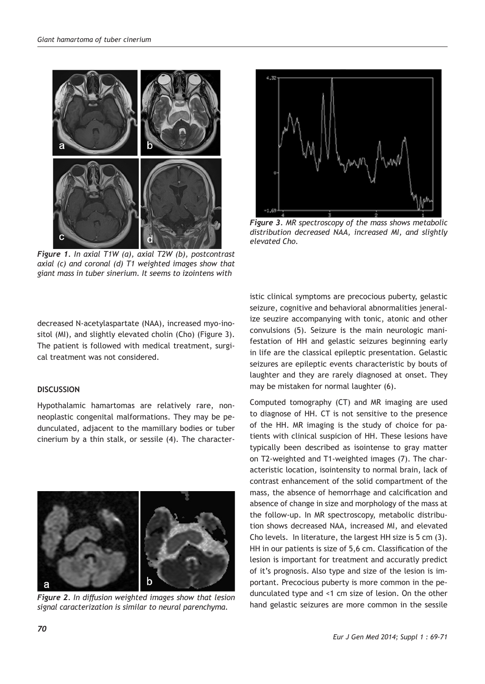

*Figure 1. In axial T1W (a), axial T2W (b), postcontrast axial (c) and coronal (d) T1 weighted images show that giant mass in tuber sinerium. It seems to izointens with* 



*Figure 3. MR spectroscopy of the mass shows metabolic distribution decreased NAA, increased MI, and slightly elevated Cho.*

decreased N-acetylaspartate (NAA), increased myo-inositol (MI), and slightly elevated cholin (Cho) (Figure 3). The patient is followed with medical treatment, surgical treatment was not considered.

## **DISCUSSION**

Hypothalamic hamartomas are relatively rare, nonneoplastic congenital malformations. They may be pedunculated, adjacent to the mamillary bodies or tuber cinerium by a thin stalk, or sessile (4). The character-



*Figure 2. In diffusion weighted images show that lesion signal caracterization is similar to neural parenchyma.*

istic clinical symptoms are precocious puberty, gelastic seizure, cognitive and behavioral abnormalities jeneralize seuzire accompanying with tonic, atonic and other convulsions (5). Seizure is the main neurologic manifestation of HH and gelastic seizures beginning early in life are the classical epileptic presentation. Gelastic seizures are epileptic events characteristic by bouts of laughter and they are rarely diagnosed at onset. They may be mistaken for normal laughter (6).

Computed tomography (CT) and MR imaging are used to diagnose of HH. CT is not sensitive to the presence of the HH. MR imaging is the study of choice for patients with clinical suspicion of HH. These lesions have typically been described as isointense to gray matter on T2-weighted and T1-weighted images (7). The characteristic location, isointensity to normal brain, lack of contrast enhancement of the solid compartment of the mass, the absence of hemorrhage and calcification and absence of change in size and morphology of the mass at the follow-up. In MR spectroscopy, metabolic distribution shows decreased NAA, increased MI, and elevated Cho levels. In literature, the largest HH size is 5 cm (3). HH in our patients is size of 5,6 cm. Classification of the lesion is important for treatment and accuratly predict of it's prognosis. Also type and size of the lesion is important. Precocious puberty is more common in the pedunculated type and <1 cm size of lesion. On the other hand gelastic seizures are more common in the sessile